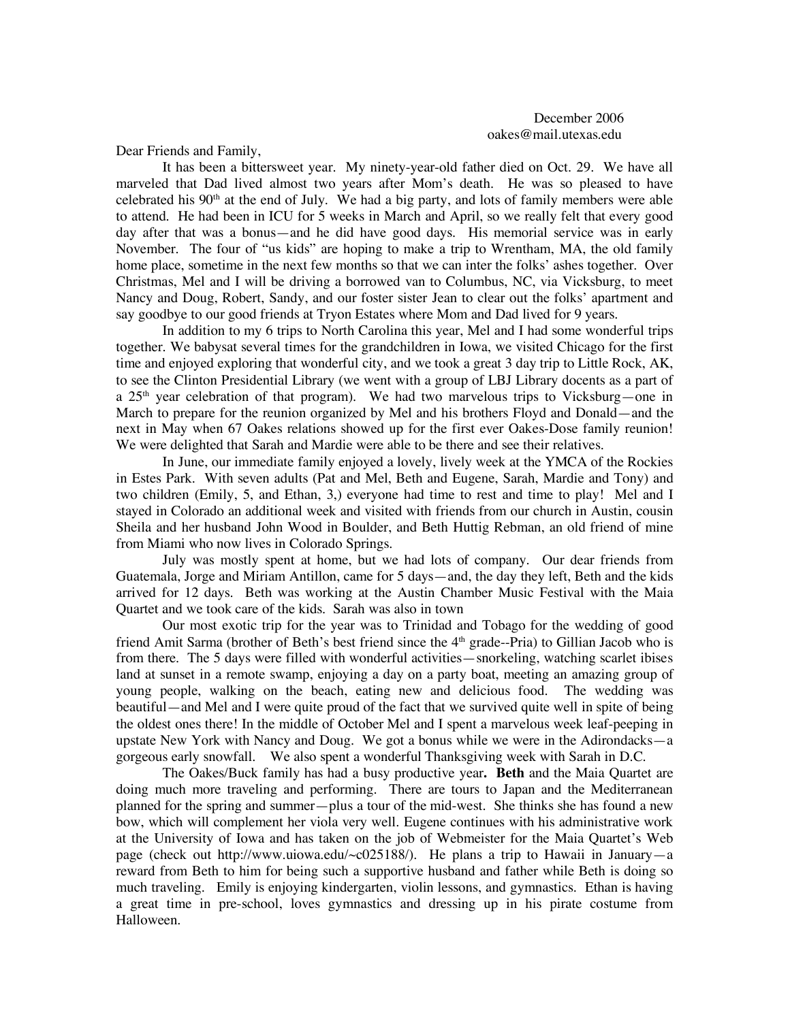December 2006 oakes@mail.utexas.edu

Dear Friends and Family,

It has been a bittersweet year. My ninety-year-old father died on Oct. 29. We have all marveled that Dad lived almost two years after Mom's death. He was so pleased to have celebrated his  $90<sup>th</sup>$  at the end of July. We had a big party, and lots of family members were able to attend. He had been in ICU for 5 weeks in March and April, so we really felt that every good day after that was a bonus—and he did have good days. His memorial service was in early November. The four of "us kids" are hoping to make a trip to Wrentham, MA, the old family home place, sometime in the next few months so that we can inter the folks' ashes together. Over Christmas, Mel and I will be driving a borrowed van to Columbus, NC, via Vicksburg, to meet Nancy and Doug, Robert, Sandy, and our foster sister Jean to clear out the folks' apartment and say goodbye to our good friends at Tryon Estates where Mom and Dad lived for 9 years.

In addition to my 6 trips to North Carolina this year, Mel and I had some wonderful trips together. We babysat several times for the grandchildren in Iowa, we visited Chicago for the first time and enjoyed exploring that wonderful city, and we took a great 3 day trip to Little Rock, AK, to see the Clinton Presidential Library (we went with a group of LBJ Library docents as a part of a 25<sup>th</sup> year celebration of that program). We had two marvelous trips to Vicksburg—one in March to prepare for the reunion organized by Mel and his brothers Floyd and Donald—and the next in May when 67 Oakes relations showed up for the first ever Oakes-Dose family reunion! We were delighted that Sarah and Mardie were able to be there and see their relatives.

In June, our immediate family enjoyed a lovely, lively week at the YMCA of the Rockies in Estes Park. With seven adults (Pat and Mel, Beth and Eugene, Sarah, Mardie and Tony) and two children (Emily, 5, and Ethan, 3,) everyone had time to rest and time to play! Mel and I stayed in Colorado an additional week and visited with friends from our church in Austin, cousin Sheila and her husband John Wood in Boulder, and Beth Huttig Rebman, an old friend of mine from Miami who now lives in Colorado Springs.

July was mostly spent at home, but we had lots of company. Our dear friends from Guatemala, Jorge and Miriam Antillon, came for 5 days—and, the day they left, Beth and the kids arrived for 12 days. Beth was working at the Austin Chamber Music Festival with the Maia Quartet and we took care of the kids. Sarah was also in town

Our most exotic trip for the year was to Trinidad and Tobago for the wedding of good friend Amit Sarma (brother of Beth's best friend since the  $4<sup>th</sup>$  grade--Pria) to Gillian Jacob who is from there. The 5 days were filled with wonderful activities—snorkeling, watching scarlet ibises land at sunset in a remote swamp, enjoying a day on a party boat, meeting an amazing group of young people, walking on the beach, eating new and delicious food. The wedding was beautiful—and Mel and I were quite proud of the fact that we survived quite well in spite of being the oldest ones there! In the middle of October Mel and I spent a marvelous week leaf-peeping in upstate New York with Nancy and Doug. We got a bonus while we were in the Adirondacks—a gorgeous early snowfall. We also spent a wonderful Thanksgiving week with Sarah in D.C.

The Oakes/Buck family has had a busy productive year**. Beth** and the Maia Quartet are doing much more traveling and performing. There are tours to Japan and the Mediterranean planned for the spring and summer—plus a tour of the mid-west. She thinks she has found a new bow, which will complement her viola very well. Eugene continues with his administrative work at the University of Iowa and has taken on the job of Webmeister for the Maia Quartet's Web page (check out http://www.uiowa.edu/~c025188/). He plans a trip to Hawaii in January—a reward from Beth to him for being such a supportive husband and father while Beth is doing so much traveling. Emily is enjoying kindergarten, violin lessons, and gymnastics. Ethan is having a great time in pre-school, loves gymnastics and dressing up in his pirate costume from Halloween.